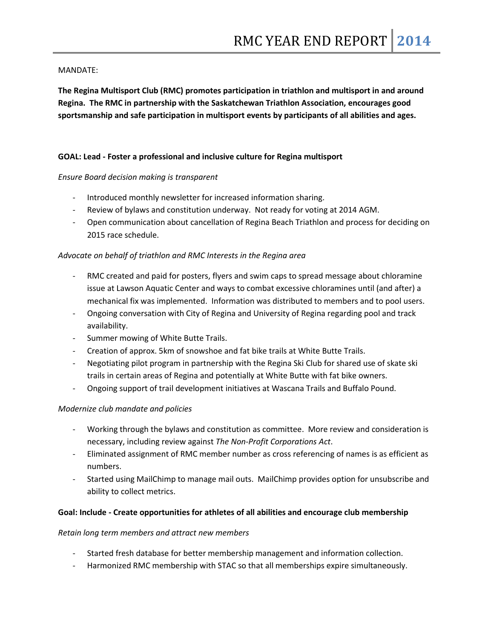## MANDATE:

**The Regina Multisport Club (RMC) promotes participation in triathlon and multisport in and around Regina. The RMC in partnership with the Saskatchewan Triathlon Association, encourages good sportsmanship and safe participation in multisport events by participants of all abilities and ages.**

# **GOAL: Lead - Foster a professional and inclusive culture for Regina multisport**

#### *Ensure Board decision making is transparent*

- Introduced monthly newsletter for increased information sharing.
- Review of bylaws and constitution underway. Not ready for voting at 2014 AGM.
- Open communication about cancellation of Regina Beach Triathlon and process for deciding on 2015 race schedule.

# *Advocate on behalf of triathlon and RMC Interests in the Regina area*

- RMC created and paid for posters, flyers and swim caps to spread message about chloramine issue at Lawson Aquatic Center and ways to combat excessive chloramines until (and after) a mechanical fix was implemented. Information was distributed to members and to pool users.
- Ongoing conversation with City of Regina and University of Regina regarding pool and track availability.
- Summer mowing of White Butte Trails.
- Creation of approx. 5km of snowshoe and fat bike trails at White Butte Trails.
- Negotiating pilot program in partnership with the Regina Ski Club for shared use of skate ski trails in certain areas of Regina and potentially at White Butte with fat bike owners.
- Ongoing support of trail development initiatives at Wascana Trails and Buffalo Pound.

# *Modernize club mandate and policies*

- Working through the bylaws and constitution as committee. More review and consideration is necessary, including review against *The Non-Profit Corporations Act*.
- Eliminated assignment of RMC member number as cross referencing of names is as efficient as numbers.
- Started using MailChimp to manage mail outs. MailChimp provides option for unsubscribe and ability to collect metrics.

#### **Goal: Include - Create opportunities for athletes of all abilities and encourage club membership**

#### *Retain long term members and attract new members*

- Started fresh database for better membership management and information collection.
- Harmonized RMC membership with STAC so that all memberships expire simultaneously.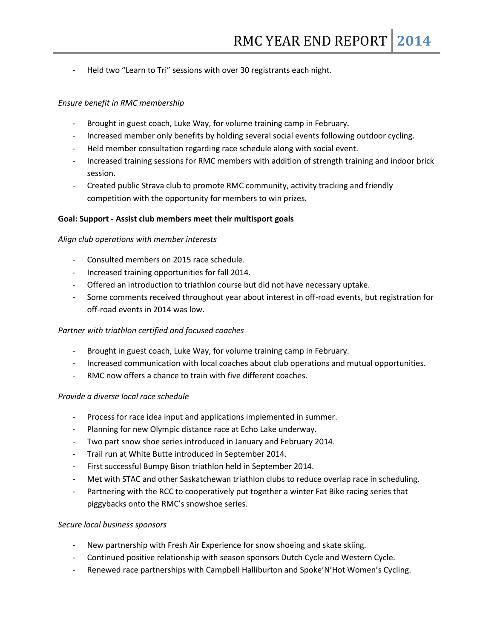Held two "Learn to Tri" sessions with over 30 registrants each night.

## *Ensure benefit in RMC membership*

- Brought in guest coach, Luke Way, for volume training camp in February.
- Increased member only benefits by holding several social events following outdoor cycling.
- Held member consultation regarding race schedule along with social event.
- Increased training sessions for RMC members with addition of strength training and indoor brick session.
- Created public Strava club to promote RMC community, activity tracking and friendly competition with the opportunity for members to win prizes.

#### **Goal: Support - Assist club members meet their multisport goals**

#### *Align club operations with member interests*

- Consulted members on 2015 race schedule.
- Increased training opportunities for fall 2014.
- Offered an introduction to triathlon course but did not have necessary uptake.
- Some comments received throughout year about interest in off-road events, but registration for off-road events in 2014 was low.

#### *Partner with triathlon certified and focused coaches*

- Brought in guest coach, Luke Way, for volume training camp in February.
- Increased communication with local coaches about club operations and mutual opportunities.
- RMC now offers a chance to train with five different coaches.

#### *Provide a diverse local race schedule*

- Process for race idea input and applications implemented in summer.
- Planning for new Olympic distance race at Echo Lake underway.
- Two part snow shoe series introduced in January and February 2014.
- Trail run at White Butte introduced in September 2014.
- First successful Bumpy Bison triathlon held in September 2014.
- Met with STAC and other Saskatchewan triathlon clubs to reduce overlap race in scheduling.
- Partnering with the RCC to cooperatively put together a winter Fat Bike racing series that piggybacks onto the RMC's snowshoe series.

#### *Secure local business sponsors*

- New partnership with Fresh Air Experience for snow shoeing and skate skiing.
- Continued positive relationship with season sponsors Dutch Cycle and Western Cycle.
- Renewed race partnerships with Campbell Halliburton and Spoke'N'Hot Women's Cycling.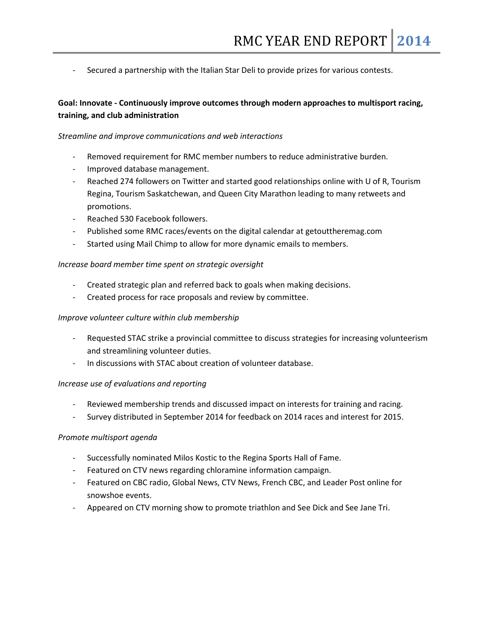Secured a partnership with the Italian Star Deli to provide prizes for various contests.

# **Goal: Innovate - Continuously improve outcomes through modern approaches to multisport racing, training, and club administration**

#### *Streamline and improve communications and web interactions*

- Removed requirement for RMC member numbers to reduce administrative burden.
- Improved database management.
- Reached 274 followers on Twitter and started good relationships online with U of R, Tourism Regina, Tourism Saskatchewan, and Queen City Marathon leading to many retweets and promotions.
- Reached 530 Facebook followers.
- Published some RMC races/events on the digital calendar at getouttheremag.com
- Started using Mail Chimp to allow for more dynamic emails to members.

#### *Increase board member time spent on strategic oversight*

- Created strategic plan and referred back to goals when making decisions.
- Created process for race proposals and review by committee.

#### *Improve volunteer culture within club membership*

- Requested STAC strike a provincial committee to discuss strategies for increasing volunteerism and streamlining volunteer duties.
- In discussions with STAC about creation of volunteer database.

#### *Increase use of evaluations and reporting*

- Reviewed membership trends and discussed impact on interests for training and racing.
- Survey distributed in September 2014 for feedback on 2014 races and interest for 2015.

#### *Promote multisport agenda*

- Successfully nominated Milos Kostic to the Regina Sports Hall of Fame.
- Featured on CTV news regarding chloramine information campaign.
- Featured on CBC radio, Global News, CTV News, French CBC, and Leader Post online for snowshoe events.
- Appeared on CTV morning show to promote triathlon and See Dick and See Jane Tri.